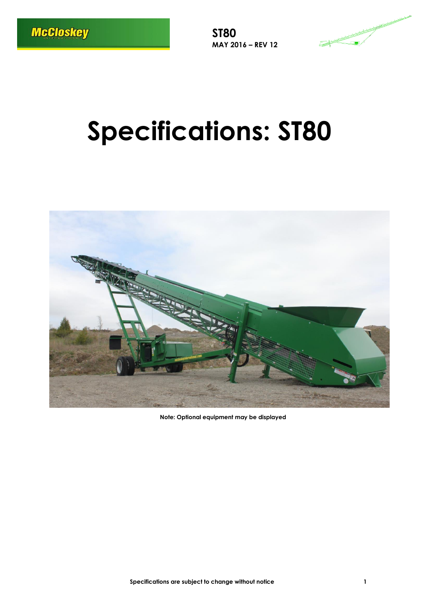**ST80 MAY 2016 – REV 12**



# **Specifications: ST80**



**Note: Optional equipment may be displayed**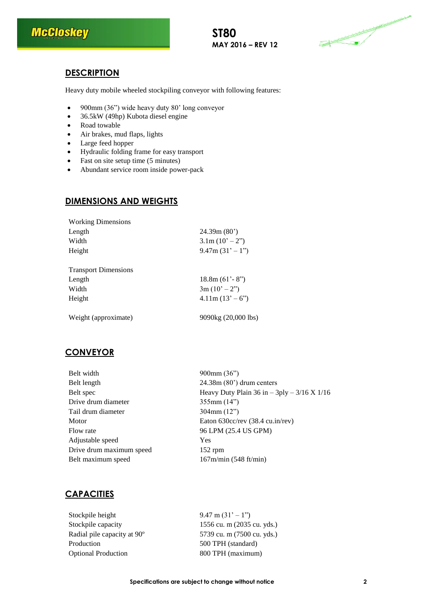

#### **ST80 MAY 2016 – REV 12**



# **DESCRIPTION**

Heavy duty mobile wheeled stockpiling conveyor with following features:

- 900mm (36") wide heavy duty 80' long conveyor
- 36.5kW (49hp) Kubota diesel engine
- Road towable
- Air brakes, mud flaps, lights
- Large feed hopper
- Hydraulic folding frame for easy transport
- Fast on site setup time (5 minutes)
- Abundant service room inside power-pack

#### **DIMENSIONS AND WEIGHTS**

| <b>Working Dimensions</b>   |                                         |
|-----------------------------|-----------------------------------------|
| Length                      | 24.39m(80)                              |
| Width                       | $3.1 \text{m} (10^{\circ} - 2^{\circ})$ |
| Height                      | $9.47$ m $(31' - 1'')$                  |
|                             |                                         |
| <b>Transport Dimensions</b> |                                         |
| Length                      | $18.8m (61' - 8'')$                     |
| Width                       | $3m(10'-2")$                            |
| Height                      | $4.11m(13' - 6")$                       |
| Weight (approximate)        | 9090kg (20,000 lbs)                     |
|                             |                                         |

# **CONVEYOR**

| Belt width               | $900$ mm $(36")$                                |  |
|--------------------------|-------------------------------------------------|--|
| Belt length              | $24.38m(80)$ drum centers                       |  |
| Belt spec                | Heavy Duty Plain 36 in $-$ 3ply $-$ 3/16 X 1/16 |  |
| Drive drum diameter      | 355mm(14")                                      |  |
| Tail drum diameter       | $304$ mm $(12")$                                |  |
| Motor                    | Eaton $630 \text{cc/rev}$ (38.4 cu.in/rev)      |  |
| Flow rate                | 96 LPM (25.4 US GPM)                            |  |
| Adjustable speed         | Yes                                             |  |
| Drive drum maximum speed | $152$ rpm                                       |  |
| Belt maximum speed       | 167m/min (548 ft/min)                           |  |
|                          |                                                 |  |

# **CAPACITIES**

Stockpile height 9.47 m  $(31' - 1'')$ Stockpile capacity 1556 cu. m (2035 cu. yds.) Radial pile capacity at 90° 5739 cu. m (7500 cu. yds.) Production 500 TPH (standard) Optional Production 800 TPH (maximum)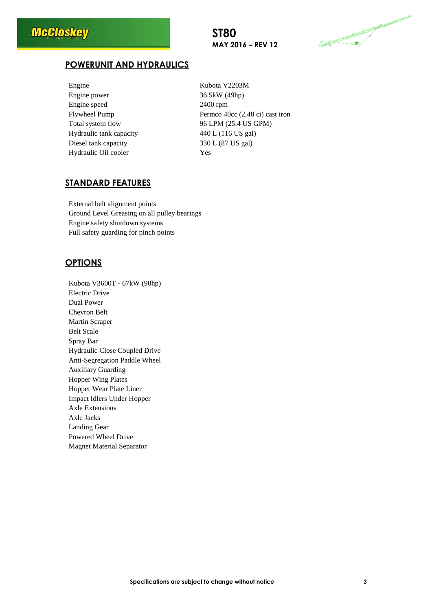### **ST80 MAY 2016 – REV 12**



### **POWERUNIT AND HYDRAULICS**

| Engine                  | Kuł  |
|-------------------------|------|
| Engine power            | 36.5 |
| Engine speed            | 240  |
| Flywheel Pump           | Peri |
| Total system flow       | 96 I |
| Hydraulic tank capacity | 440  |
| Diesel tank capacity    | 330  |
| Hydraulic Oil cooler    | Yes  |

Kubota V2203M 36.5kW (49hp) 2400 rpm Permco 40cc (2.48 ci) cast iron 96 LPM (25.4 US GPM) 440 L (116 US gal) 330 L (87 US gal)

#### **STANDARD FEATURES**

External belt alignment points Ground Level Greasing on all pulley bearings Engine safety shutdown systems Full safety guarding for pinch points

#### **OPTIONS**

Kubota V3600T - 67kW (90hp) Electric Drive Dual Power Chevron Belt Martin Scraper Belt Scale Spray Bar Hydraulic Close Coupled Drive Anti-Segregation Paddle Wheel Auxiliary Guarding Hopper Wing Plates Hopper Wear Plate Liner Impact Idlers Under Hopper Axle Extensions Axle Jacks Landing Gear Powered Wheel Drive Magnet Material Separator